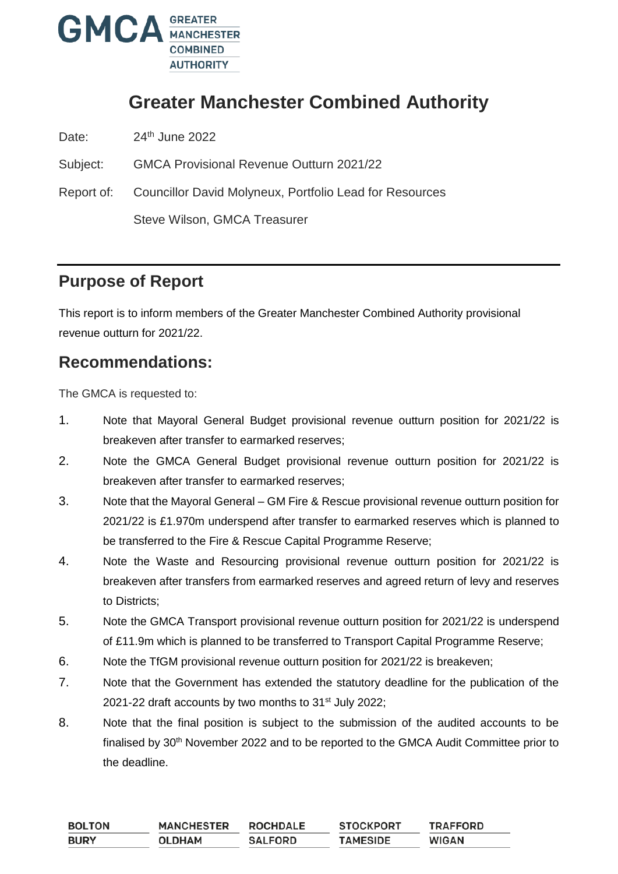

# **Greater Manchester Combined Authority**

Date: 24<sup>th</sup> June 2022

Subject: GMCA Provisional Revenue Outturn 2021/22

Report of: Councillor David Molyneux, Portfolio Lead for Resources Steve Wilson, GMCA Treasurer

## **Purpose of Report**

This report is to inform members of the Greater Manchester Combined Authority provisional revenue outturn for 2021/22.

## **Recommendations:**

The GMCA is requested to:

- 1. Note that Mayoral General Budget provisional revenue outturn position for 2021/22 is breakeven after transfer to earmarked reserves;
- 2. Note the GMCA General Budget provisional revenue outturn position for 2021/22 is breakeven after transfer to earmarked reserves;
- 3. Note that the Mayoral General GM Fire & Rescue provisional revenue outturn position for 2021/22 is £1.970m underspend after transfer to earmarked reserves which is planned to be transferred to the Fire & Rescue Capital Programme Reserve;
- 4. Note the Waste and Resourcing provisional revenue outturn position for 2021/22 is breakeven after transfers from earmarked reserves and agreed return of levy and reserves to Districts;
- 5. Note the GMCA Transport provisional revenue outturn position for 2021/22 is underspend of £11.9m which is planned to be transferred to Transport Capital Programme Reserve;
- 6. Note the TfGM provisional revenue outturn position for 2021/22 is breakeven;
- 7. Note that the Government has extended the statutory deadline for the publication of the 2021-22 draft accounts by two months to  $31<sup>st</sup>$  July 2022;
- 8. Note that the final position is subject to the submission of the audited accounts to be finalised by 30<sup>th</sup> November 2022 and to be reported to the GMCA Audit Committee prior to the deadline.

| <b>BOLTON</b> | <b>MANCHESTER</b> | <b>ROCHDALE</b> | <b>STOCKPORT</b> | <b>TRAFFORD</b> |
|---------------|-------------------|-----------------|------------------|-----------------|
| <b>BURY</b>   | <b>OLDHAM</b>     | <b>SALFORD</b>  | <b>TAMESIDE</b>  | <b>WIGAN</b>    |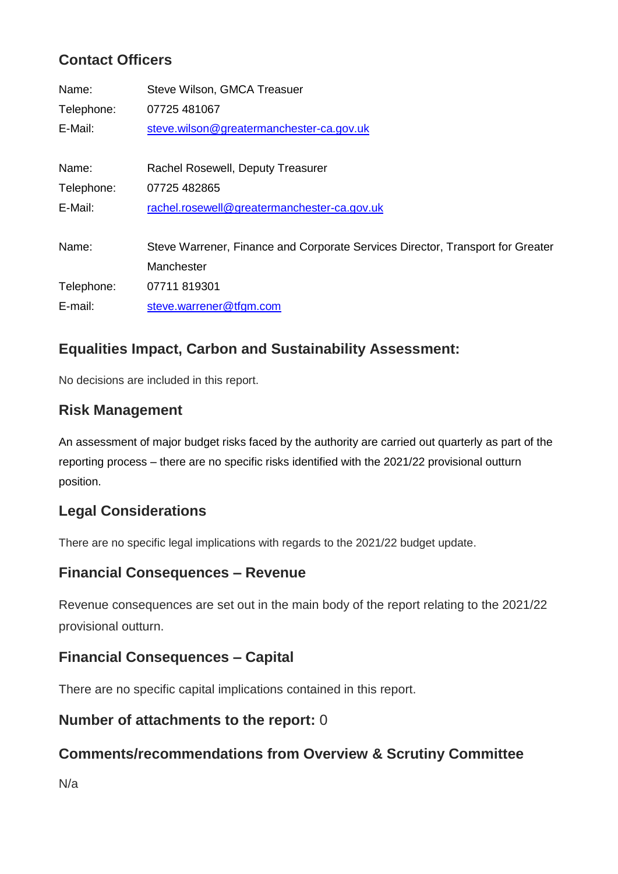# **Contact Officers**

| Name:      | Steve Wilson, GMCA Treasuer                                                    |
|------------|--------------------------------------------------------------------------------|
| Telephone: | 07725 481067                                                                   |
| E-Mail:    | steve.wilson@greatermanchester-ca.gov.uk                                       |
|            |                                                                                |
| Name:      | Rachel Rosewell, Deputy Treasurer                                              |
| Telephone: | 07725 482865                                                                   |
| E-Mail:    | rachel.rosewell@greatermanchester-ca.gov.uk                                    |
|            |                                                                                |
| Name:      | Steve Warrener, Finance and Corporate Services Director, Transport for Greater |
|            | Manchester                                                                     |
| Telephone: | 07711 819301                                                                   |
| E-mail:    | steve.warrener@tfgm.com                                                        |

## **Equalities Impact, Carbon and Sustainability Assessment:**

No decisions are included in this report.

### **Risk Management**

An assessment of major budget risks faced by the authority are carried out quarterly as part of the reporting process – there are no specific risks identified with the 2021/22 provisional outturn position.

### **Legal Considerations**

There are no specific legal implications with regards to the 2021/22 budget update.

### **Financial Consequences – Revenue**

Revenue consequences are set out in the main body of the report relating to the 2021/22 provisional outturn.

### **Financial Consequences – Capital**

There are no specific capital implications contained in this report.

### **Number of attachments to the report:** 0

### **Comments/recommendations from Overview & Scrutiny Committee**

N/a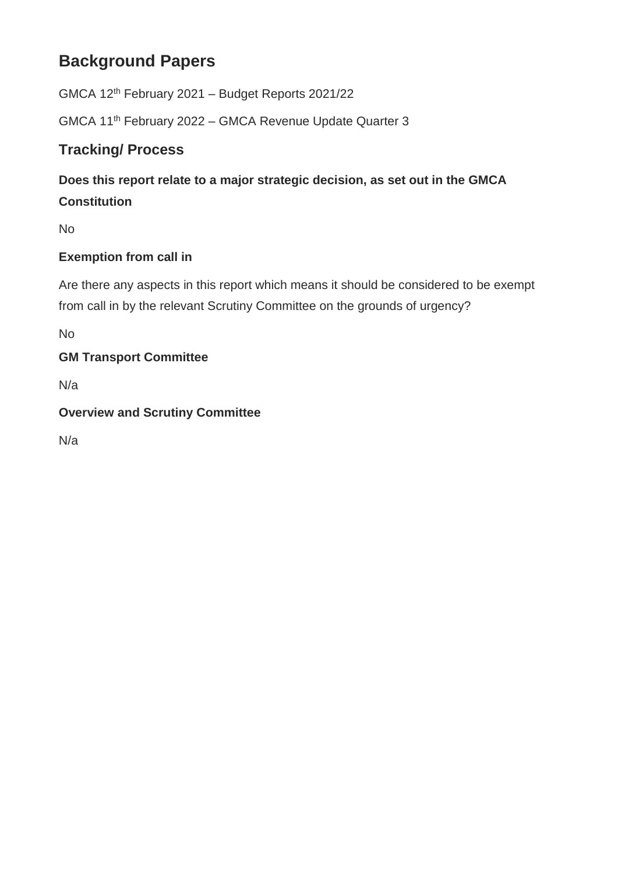# **Background Papers**

GMCA 12th February 2021 – Budget Reports 2021/22

GMCA 11th February 2022 – GMCA Revenue Update Quarter 3

# **Tracking/ Process**

# **Does this report relate to a major strategic decision, as set out in the GMCA Constitution**

No

### **Exemption from call in**

Are there any aspects in this report which means it should be considered to be exempt from call in by the relevant Scrutiny Committee on the grounds of urgency?

No

### **GM Transport Committee**

N/a

### **Overview and Scrutiny Committee**

N/a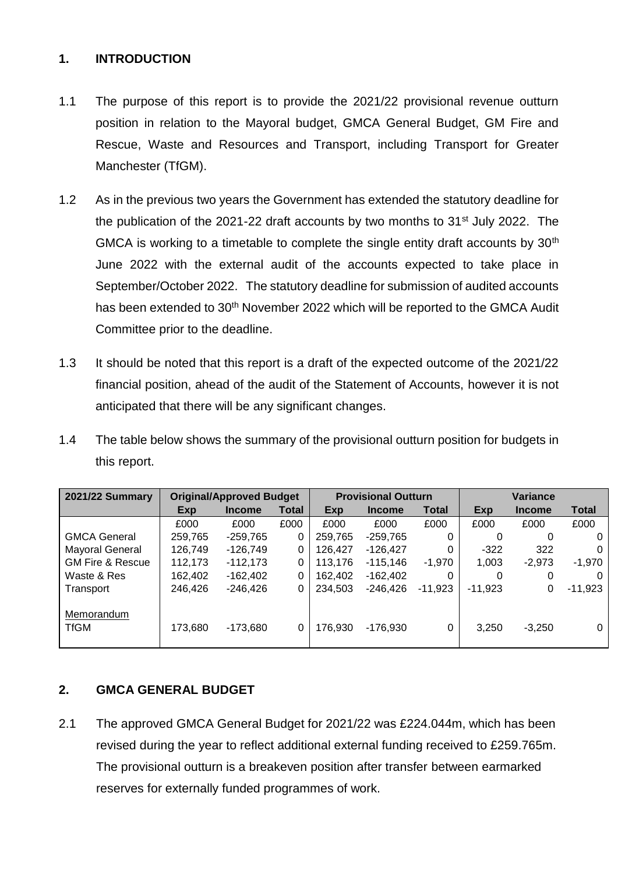#### **1. INTRODUCTION**

- 1.1 The purpose of this report is to provide the 2021/22 provisional revenue outturn position in relation to the Mayoral budget, GMCA General Budget, GM Fire and Rescue, Waste and Resources and Transport, including Transport for Greater Manchester (TfGM).
- 1.2 As in the previous two years the Government has extended the statutory deadline for the publication of the 2021-22 draft accounts by two months to  $31<sup>st</sup>$  July 2022. The GMCA is working to a timetable to complete the single entity draft accounts by  $30<sup>th</sup>$ June 2022 with the external audit of the accounts expected to take place in September/October 2022. The statutory deadline for submission of audited accounts has been extended to 30<sup>th</sup> November 2022 which will be reported to the GMCA Audit Committee prior to the deadline.
- 1.3 It should be noted that this report is a draft of the expected outcome of the 2021/22 financial position, ahead of the audit of the Statement of Accounts, however it is not anticipated that there will be any significant changes.
- 1.4 The table below shows the summary of the provisional outturn position for budgets in this report.

| <b>2021/22 Summary</b>           | <b>Original/Approved Budget</b> |               | <b>Provisional Outturn</b> |         |               | Variance     |           |               |              |
|----------------------------------|---------------------------------|---------------|----------------------------|---------|---------------|--------------|-----------|---------------|--------------|
|                                  | Exp                             | <b>Income</b> | Total                      | Exp     | <b>Income</b> | <b>Total</b> | Exp       | <b>Income</b> | <b>Total</b> |
|                                  | £000                            | £000          | £000                       | £000    | £000          | £000         | £000      | £000          | £000         |
| <b>GMCA General</b>              | 259,765                         | -259.765      | 0                          | 259,765 | $-259.765$    | 0            | 0         | 0             | 0            |
| Mayoral General                  | 126,749                         | $-126,749$    | 0                          | 126,427 | $-126,427$    | 0            | $-322$    | 322           | 0            |
| <b>GM Fire &amp; Rescue</b>      | 112,173                         | $-112,173$    | 0                          | 113.176 | -115,146      | $-1,970$     | 1,003     | $-2.973$      | $-1,970$     |
| Waste & Res                      | 162,402                         | -162,402      | 0                          | 162,402 | $-162,402$    | 0            | 0         | 0             | 0            |
| Transport                        | 246,426                         | $-246.426$    | 0                          | 234.503 | -246.426      | $-11,923$    | $-11,923$ | 0             | $-11,923$    |
| <b>Memorandum</b><br><b>TfGM</b> | 173,680                         | $-173,680$    | 0                          | 176,930 | $-176,930$    | 0            | 3,250     | $-3,250$      | $\Omega$     |

### **2. GMCA GENERAL BUDGET**

2.1 The approved GMCA General Budget for 2021/22 was £224.044m, which has been revised during the year to reflect additional external funding received to £259.765m. The provisional outturn is a breakeven position after transfer between earmarked reserves for externally funded programmes of work.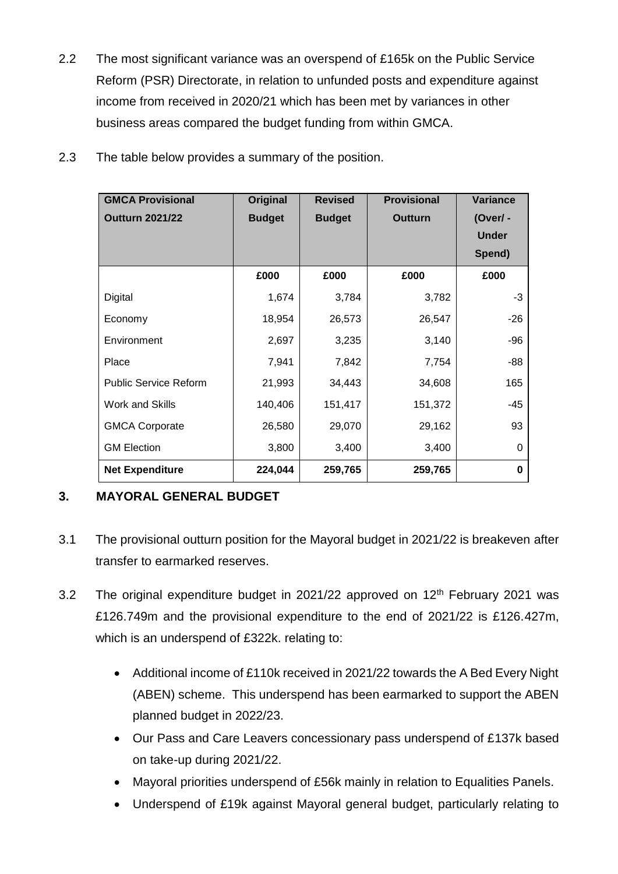2.2 The most significant variance was an overspend of £165k on the Public Service Reform (PSR) Directorate, in relation to unfunded posts and expenditure against income from received in 2020/21 which has been met by variances in other business areas compared the budget funding from within GMCA.

| 2.3 <sub>1</sub> | The table below provides a summary of the position. |  |  |
|------------------|-----------------------------------------------------|--|--|
|                  |                                                     |  |  |

| <b>GMCA Provisional</b>      | Original      | <b>Revised</b> | <b>Provisional</b> | <b>Variance</b> |
|------------------------------|---------------|----------------|--------------------|-----------------|
| <b>Outturn 2021/22</b>       | <b>Budget</b> | <b>Budget</b>  | Outturn            | (Over/-         |
|                              |               |                |                    | <b>Under</b>    |
|                              |               |                |                    | Spend)          |
|                              | £000          | £000           | £000               | £000            |
| Digital                      | 1,674         | 3,784          | 3,782              | -3              |
| Economy                      | 18,954        | 26,573         | 26,547             | $-26$           |
| Environment                  | 2,697         | 3,235          | 3,140              | -96             |
| Place                        | 7,941         | 7,842          | 7,754              | -88             |
| <b>Public Service Reform</b> | 21,993        | 34,443         | 34,608             | 165             |
| Work and Skills              | 140,406       | 151,417        | 151,372            | -45             |
| <b>GMCA Corporate</b>        | 26,580        | 29,070         | 29,162             | 93              |
| <b>GM Election</b>           | 3,800         | 3,400          | 3,400              | 0               |
| <b>Net Expenditure</b>       | 224,044       | 259,765        | 259,765            | 0               |

### **3. MAYORAL GENERAL BUDGET**

- 3.1 The provisional outturn position for the Mayoral budget in 2021/22 is breakeven after transfer to earmarked reserves.
- 3.2 The original expenditure budget in 2021/22 approved on  $12<sup>th</sup>$  February 2021 was £126.749m and the provisional expenditure to the end of 2021/22 is £126.427m, which is an underspend of £322k. relating to:
	- Additional income of £110k received in 2021/22 towards the A Bed Every Night (ABEN) scheme. This underspend has been earmarked to support the ABEN planned budget in 2022/23.
	- Our Pass and Care Leavers concessionary pass underspend of £137k based on take-up during 2021/22.
	- Mayoral priorities underspend of £56k mainly in relation to Equalities Panels.
	- Underspend of £19k against Mayoral general budget, particularly relating to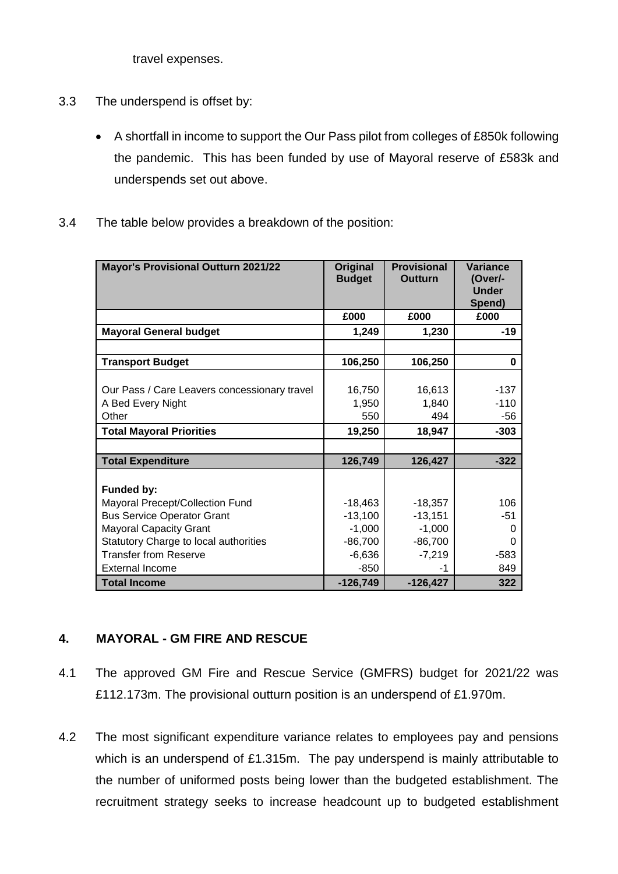travel expenses.

- 3.3 The underspend is offset by:
	- A shortfall in income to support the Our Pass pilot from colleges of £850k following the pandemic. This has been funded by use of Mayoral reserve of £583k and underspends set out above.
- 3.4 The table below provides a breakdown of the position:

| <b>Mayor's Provisional Outturn 2021/22</b>   | <b>Original</b><br><b>Budget</b> | <b>Provisional</b><br><b>Outturn</b> | Variance<br>(Over/-<br><b>Under</b><br>Spend) |
|----------------------------------------------|----------------------------------|--------------------------------------|-----------------------------------------------|
|                                              | £000                             | £000                                 | £000                                          |
| <b>Mayoral General budget</b>                | 1,249                            | 1,230                                | $-19$                                         |
|                                              |                                  |                                      |                                               |
| <b>Transport Budget</b>                      | 106,250                          | 106,250                              | 0                                             |
|                                              |                                  |                                      |                                               |
| Our Pass / Care Leavers concessionary travel | 16,750                           | 16,613                               | $-137$                                        |
| A Bed Every Night                            | 1,950                            | 1,840                                | $-110$                                        |
| Other                                        | 550                              | 494                                  | -56                                           |
| <b>Total Mayoral Priorities</b>              | 19,250                           | 18,947                               | $-303$                                        |
|                                              |                                  |                                      |                                               |
| <b>Total Expenditure</b>                     | 126,749                          | 126,427                              | $-322$                                        |
|                                              |                                  |                                      |                                               |
| Funded by:                                   |                                  |                                      |                                               |
| Mayoral Precept/Collection Fund              | $-18,463$                        | $-18,357$                            | 106                                           |
| <b>Bus Service Operator Grant</b>            | $-13,100$                        | $-13,151$                            | $-51$                                         |
| <b>Mayoral Capacity Grant</b>                | $-1,000$                         | $-1,000$                             | 0                                             |
| Statutory Charge to local authorities        | $-86,700$                        | $-86,700$                            | O                                             |
| <b>Transfer from Reserve</b>                 | $-6,636$                         | $-7,219$                             | -583                                          |
| <b>External Income</b>                       | $-850$                           | -1                                   | 849                                           |
| <b>Total Income</b>                          | $-126,749$                       | $-126,427$                           | 322                                           |

#### **4. MAYORAL - GM FIRE AND RESCUE**

- 4.1 The approved GM Fire and Rescue Service (GMFRS) budget for 2021/22 was £112.173m. The provisional outturn position is an underspend of £1.970m.
- 4.2 The most significant expenditure variance relates to employees pay and pensions which is an underspend of £1.315m. The pay underspend is mainly attributable to the number of uniformed posts being lower than the budgeted establishment. The recruitment strategy seeks to increase headcount up to budgeted establishment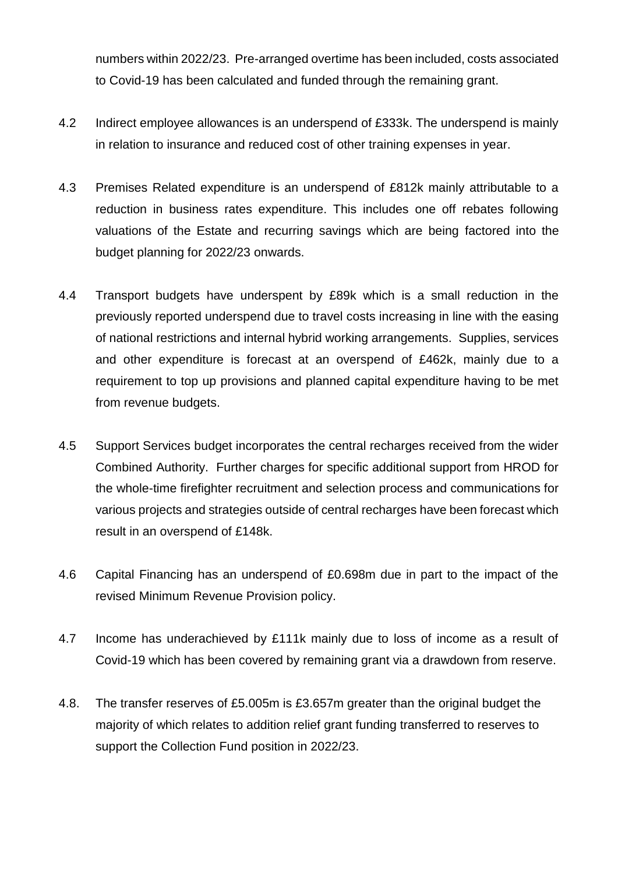numbers within 2022/23. Pre-arranged overtime has been included, costs associated to Covid-19 has been calculated and funded through the remaining grant.

- 4.2 Indirect employee allowances is an underspend of £333k. The underspend is mainly in relation to insurance and reduced cost of other training expenses in year.
- 4.3 Premises Related expenditure is an underspend of £812k mainly attributable to a reduction in business rates expenditure. This includes one off rebates following valuations of the Estate and recurring savings which are being factored into the budget planning for 2022/23 onwards.
- 4.4 Transport budgets have underspent by £89k which is a small reduction in the previously reported underspend due to travel costs increasing in line with the easing of national restrictions and internal hybrid working arrangements. Supplies, services and other expenditure is forecast at an overspend of £462k, mainly due to a requirement to top up provisions and planned capital expenditure having to be met from revenue budgets.
- 4.5 Support Services budget incorporates the central recharges received from the wider Combined Authority. Further charges for specific additional support from HROD for the whole-time firefighter recruitment and selection process and communications for various projects and strategies outside of central recharges have been forecast which result in an overspend of £148k.
- 4.6 Capital Financing has an underspend of £0.698m due in part to the impact of the revised Minimum Revenue Provision policy.
- 4.7 Income has underachieved by £111k mainly due to loss of income as a result of Covid-19 which has been covered by remaining grant via a drawdown from reserve.
- 4.8. The transfer reserves of £5.005m is £3.657m greater than the original budget the majority of which relates to addition relief grant funding transferred to reserves to support the Collection Fund position in 2022/23.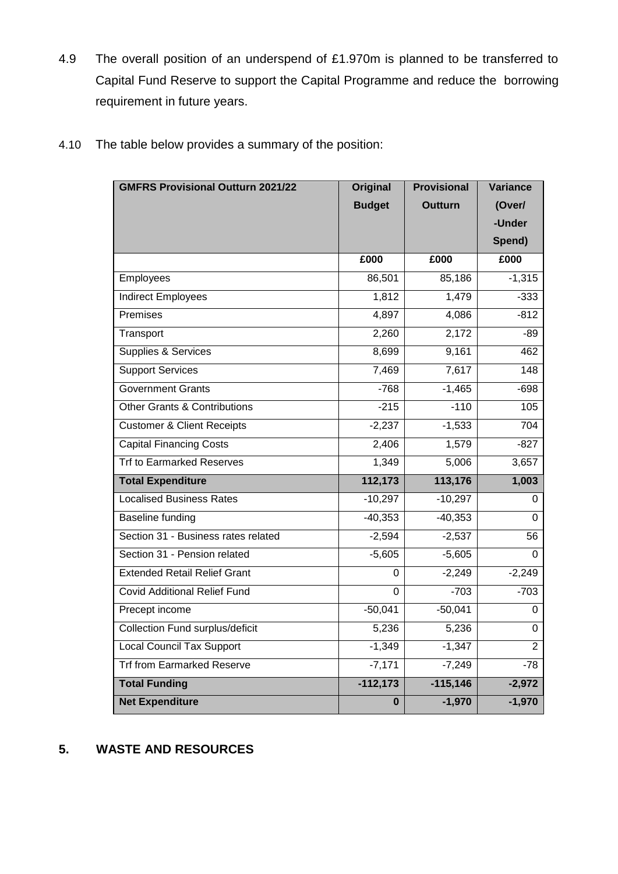4.9 The overall position of an underspend of £1.970m is planned to be transferred to Capital Fund Reserve to support the Capital Programme and reduce the borrowing requirement in future years.

| <b>GMFRS Provisional Outturn 2021/22</b> | <b>Original</b> | <b>Provisional</b> | Variance       |
|------------------------------------------|-----------------|--------------------|----------------|
|                                          | <b>Budget</b>   | Outturn            | (Over/         |
|                                          |                 |                    | -Under         |
|                                          |                 |                    | Spend)         |
|                                          | £000            | £000               | £000           |
| Employees                                | 86,501          | 85,186             | $-1,315$       |
| <b>Indirect Employees</b>                | 1,812           | 1,479              | $-333$         |
| <b>Premises</b>                          | 4,897           | 4,086              | $-812$         |
| Transport                                | 2,260           | 2,172              | $-89$          |
| Supplies & Services                      | 8,699           | 9,161              | 462            |
| <b>Support Services</b>                  | 7,469           | 7,617              | 148            |
| <b>Government Grants</b>                 | $-768$          | $-1,465$           | $-698$         |
| <b>Other Grants &amp; Contributions</b>  | $-215$          | $-110$             | 105            |
| <b>Customer &amp; Client Receipts</b>    | $-2,237$        | $-1,533$           | 704            |
| <b>Capital Financing Costs</b>           | 2,406           | 1,579              | $-827$         |
| <b>Trf to Earmarked Reserves</b>         | 1,349           | 5,006              | 3,657          |
| <b>Total Expenditure</b>                 | 112,173         | 113,176            | 1,003          |
| <b>Localised Business Rates</b>          | $-10,297$       | $-10,297$          | 0              |
| Baseline funding                         | $-40,353$       | $-40,353$          | $\Omega$       |
| Section 31 - Business rates related      | $-2,594$        | $-2,537$           | 56             |
| Section 31 - Pension related             | $-5,605$        | $-5,605$           | $\Omega$       |
| <b>Extended Retail Relief Grant</b>      | 0               | $-2,249$           | $-2,249$       |
| <b>Covid Additional Relief Fund</b>      | 0               | $-703$             | $-703$         |
| Precept income                           | $-50,041$       | $-50,041$          | 0              |
| Collection Fund surplus/deficit          | 5,236           | 5,236              | 0              |
| <b>Local Council Tax Support</b>         | $-1,349$        | $-1,347$           | $\overline{2}$ |
| <b>Trf from Earmarked Reserve</b>        | $-7,171$        | $-7,249$           | $-78$          |
| <b>Total Funding</b>                     | $-112,173$      | $-115,146$         | $-2,972$       |
| <b>Net Expenditure</b>                   | 0               | $-1,970$           | $-1,970$       |

4.10 The table below provides a summary of the position:

### **5. WASTE AND RESOURCES**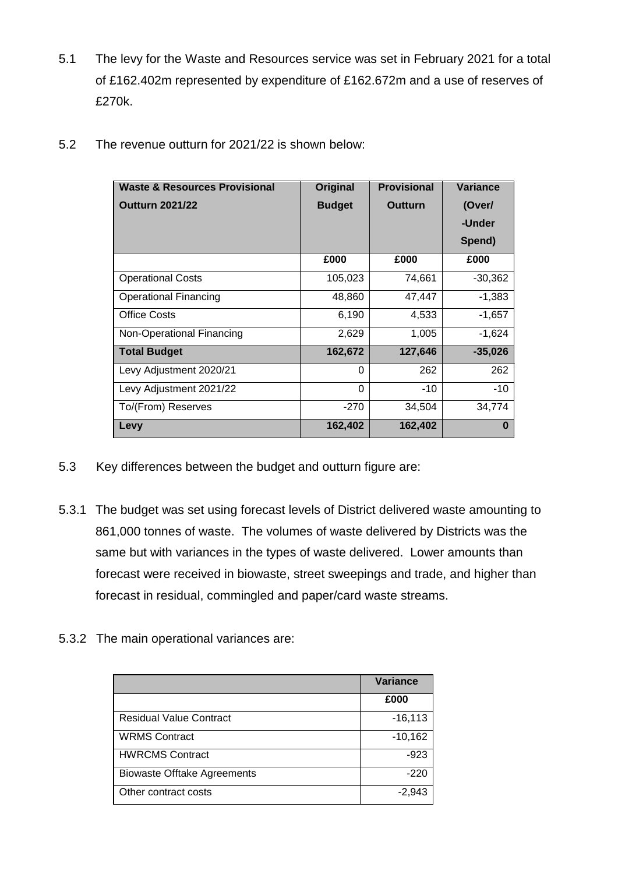5.1 The levy for the Waste and Resources service was set in February 2021 for a total of £162.402m represented by expenditure of £162.672m and a use of reserves of £270k.

| <b>Waste &amp; Resources Provisional</b> | <b>Original</b> | <b>Provisional</b> | <b>Variance</b> |
|------------------------------------------|-----------------|--------------------|-----------------|
| <b>Outturn 2021/22</b>                   | <b>Budget</b>   | <b>Outturn</b>     | (Over/          |
|                                          |                 |                    | -Under          |
|                                          |                 |                    | Spend)          |
|                                          | £000            | £000               | £000            |
| <b>Operational Costs</b>                 | 105,023         | 74,661             | $-30,362$       |
| <b>Operational Financing</b>             | 48,860          | 47,447             | $-1,383$        |
| <b>Office Costs</b>                      | 6,190           | 4,533              | $-1,657$        |
| Non-Operational Financing                | 2,629           | 1,005              | $-1,624$        |
| <b>Total Budget</b>                      | 162,672         | 127,646            | $-35,026$       |
| Levy Adjustment 2020/21                  | 0               | 262                | 262             |
| Levy Adjustment 2021/22                  | $\Omega$        | $-10$              | $-10$           |
| To/(From) Reserves                       | $-270$          | 34,504             | 34,774          |
| Levy                                     | 162,402         | 162,402            | 0               |

5.2 The revenue outturn for 2021/22 is shown below:

- 5.3 Key differences between the budget and outturn figure are:
- 5.3.1 The budget was set using forecast levels of District delivered waste amounting to 861,000 tonnes of waste. The volumes of waste delivered by Districts was the same but with variances in the types of waste delivered. Lower amounts than forecast were received in biowaste, street sweepings and trade, and higher than forecast in residual, commingled and paper/card waste streams.
- 5.3.2 The main operational variances are:

|                                    | <b>Variance</b> |
|------------------------------------|-----------------|
|                                    | £000            |
| <b>Residual Value Contract</b>     | $-16, 113$      |
| <b>WRMS Contract</b>               | $-10,162$       |
| <b>HWRCMS Contract</b>             | $-923$          |
| <b>Biowaste Offtake Agreements</b> | $-220$          |
| Other contract costs               | $-2,943$        |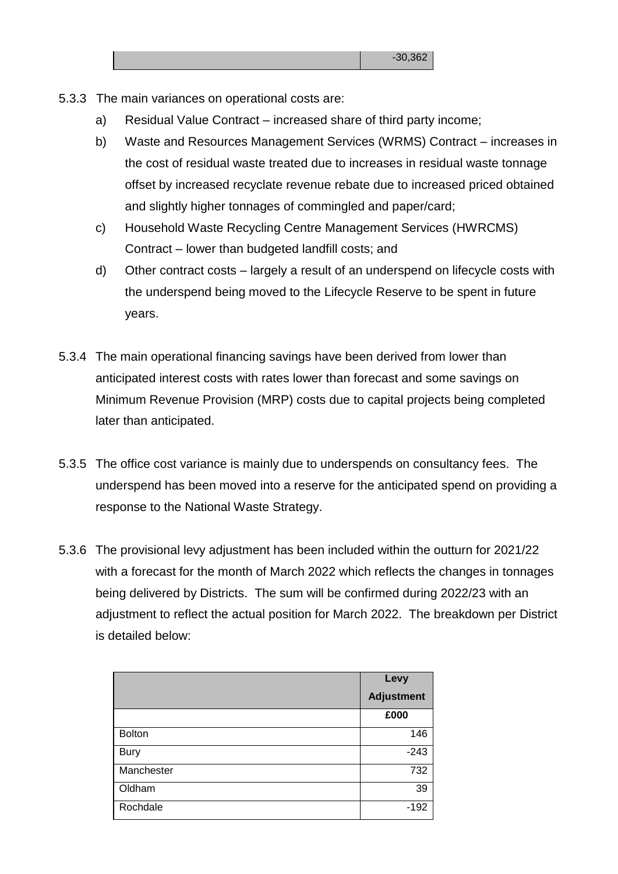- 5.3.3 The main variances on operational costs are:
	- a) Residual Value Contract increased share of third party income;
	- b) Waste and Resources Management Services (WRMS) Contract increases in the cost of residual waste treated due to increases in residual waste tonnage offset by increased recyclate revenue rebate due to increased priced obtained and slightly higher tonnages of commingled and paper/card;
	- c) Household Waste Recycling Centre Management Services (HWRCMS) Contract – lower than budgeted landfill costs; and
	- d) Other contract costs largely a result of an underspend on lifecycle costs with the underspend being moved to the Lifecycle Reserve to be spent in future years.
- 5.3.4 The main operational financing savings have been derived from lower than anticipated interest costs with rates lower than forecast and some savings on Minimum Revenue Provision (MRP) costs due to capital projects being completed later than anticipated.
- 5.3.5 The office cost variance is mainly due to underspends on consultancy fees. The underspend has been moved into a reserve for the anticipated spend on providing a response to the National Waste Strategy.
- 5.3.6 The provisional levy adjustment has been included within the outturn for 2021/22 with a forecast for the month of March 2022 which reflects the changes in tonnages being delivered by Districts. The sum will be confirmed during 2022/23 with an adjustment to reflect the actual position for March 2022. The breakdown per District is detailed below:

|               | Levy              |
|---------------|-------------------|
|               | <b>Adjustment</b> |
|               | £000              |
| <b>Bolton</b> | 146               |
| <b>Bury</b>   | $-243$            |
| Manchester    | 732               |
| Oldham        | 39                |
| Rochdale      | $-192$            |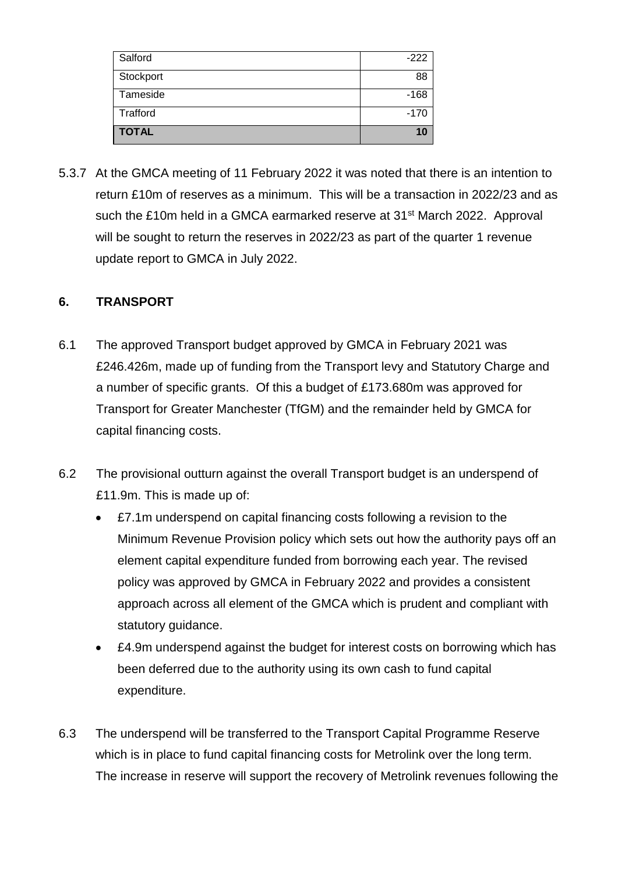| Salford      | $-222$ |
|--------------|--------|
| Stockport    | 88     |
| Tameside     | $-168$ |
| Trafford     | $-170$ |
| <b>TOTAL</b> | 10     |

5.3.7 At the GMCA meeting of 11 February 2022 it was noted that there is an intention to return £10m of reserves as a minimum. This will be a transaction in 2022/23 and as such the £10m held in a GMCA earmarked reserve at 31<sup>st</sup> March 2022. Approval will be sought to return the reserves in 2022/23 as part of the quarter 1 revenue update report to GMCA in July 2022.

#### **6. TRANSPORT**

- 6.1 The approved Transport budget approved by GMCA in February 2021 was £246.426m, made up of funding from the Transport levy and Statutory Charge and a number of specific grants. Of this a budget of £173.680m was approved for Transport for Greater Manchester (TfGM) and the remainder held by GMCA for capital financing costs.
- 6.2 The provisional outturn against the overall Transport budget is an underspend of £11.9m. This is made up of:
	- £7.1m underspend on capital financing costs following a revision to the Minimum Revenue Provision policy which sets out how the authority pays off an element capital expenditure funded from borrowing each year. The revised policy was approved by GMCA in February 2022 and provides a consistent approach across all element of the GMCA which is prudent and compliant with statutory guidance.
	- £4.9m underspend against the budget for interest costs on borrowing which has been deferred due to the authority using its own cash to fund capital expenditure.
- 6.3 The underspend will be transferred to the Transport Capital Programme Reserve which is in place to fund capital financing costs for Metrolink over the long term. The increase in reserve will support the recovery of Metrolink revenues following the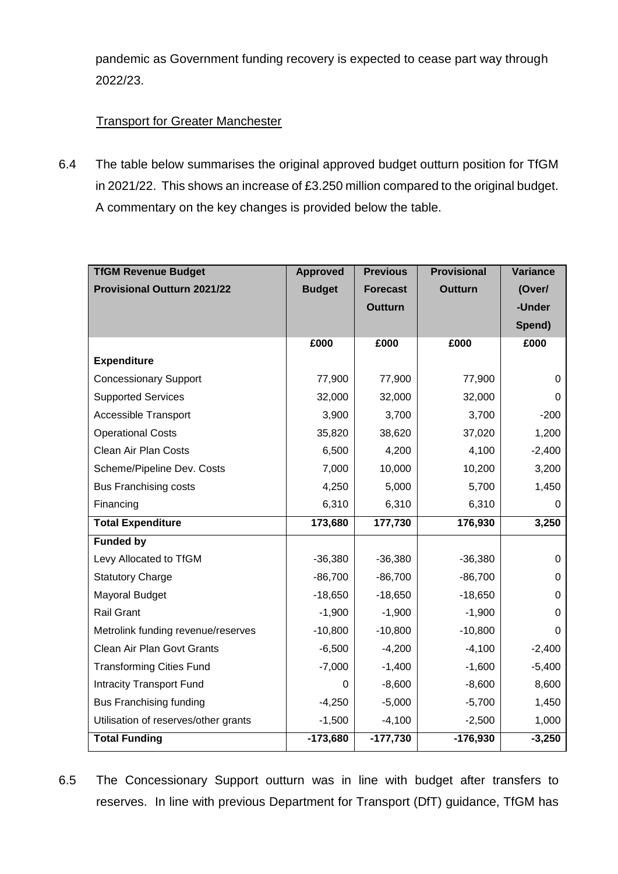pandemic as Government funding recovery is expected to cease part way through 2022/23.

### **Transport for Greater Manchester**

6.4 The table below summarises the original approved budget outturn position for TfGM in 2021/22. This shows an increase of £3.250 million compared to the original budget. A commentary on the key changes is provided below the table.

| <b>TfGM Revenue Budget</b>           | <b>Approved</b> | <b>Previous</b> | <b>Provisional</b> | <b>Variance</b> |
|--------------------------------------|-----------------|-----------------|--------------------|-----------------|
| <b>Provisional Outturn 2021/22</b>   | <b>Budget</b>   | <b>Forecast</b> | <b>Outturn</b>     | (Over/          |
|                                      |                 | <b>Outturn</b>  |                    | -Under          |
|                                      |                 |                 |                    | Spend)          |
|                                      | £000            | £000            | £000               | £000            |
| <b>Expenditure</b>                   |                 |                 |                    |                 |
| <b>Concessionary Support</b>         | 77,900          | 77,900          | 77,900             | 0               |
| <b>Supported Services</b>            | 32,000          | 32,000          | 32,000             | 0               |
| <b>Accessible Transport</b>          | 3,900           | 3,700           | 3,700              | $-200$          |
| <b>Operational Costs</b>             | 35,820          | 38,620          | 37,020             | 1,200           |
| Clean Air Plan Costs                 | 6,500           | 4,200           | 4,100              | $-2,400$        |
| Scheme/Pipeline Dev. Costs           | 7,000           | 10,000          | 10,200             | 3,200           |
| <b>Bus Franchising costs</b>         | 4,250           | 5,000           | 5,700              | 1,450           |
| Financing                            | 6,310           | 6,310           | 6,310              | 0               |
| <b>Total Expenditure</b>             | 173,680         | 177,730         | 176,930            | 3,250           |
| <b>Funded by</b>                     |                 |                 |                    |                 |
| Levy Allocated to TfGM               | $-36,380$       | $-36,380$       | $-36,380$          | 0               |
| <b>Statutory Charge</b>              | $-86,700$       | $-86,700$       | $-86,700$          | 0               |
| <b>Mayoral Budget</b>                | $-18,650$       | $-18,650$       | $-18,650$          | 0               |
| <b>Rail Grant</b>                    | $-1,900$        | $-1,900$        | $-1,900$           | 0               |
| Metrolink funding revenue/reserves   | $-10,800$       | $-10,800$       | $-10,800$          | 0               |
| Clean Air Plan Govt Grants           | $-6,500$        | $-4,200$        | $-4,100$           | $-2,400$        |
| <b>Transforming Cities Fund</b>      | $-7,000$        | $-1,400$        | $-1,600$           | $-5,400$        |
| <b>Intracity Transport Fund</b>      | 0               | $-8,600$        | $-8,600$           | 8,600           |
| <b>Bus Franchising funding</b>       | $-4,250$        | $-5,000$        | $-5,700$           | 1,450           |
| Utilisation of reserves/other grants | $-1,500$        | $-4,100$        | $-2,500$           | 1,000           |
| <b>Total Funding</b>                 | $-173,680$      | $-177,730$      | $-176,930$         | $-3,250$        |

6.5 The Concessionary Support outturn was in line with budget after transfers to reserves. In line with previous Department for Transport (DfT) guidance, TfGM has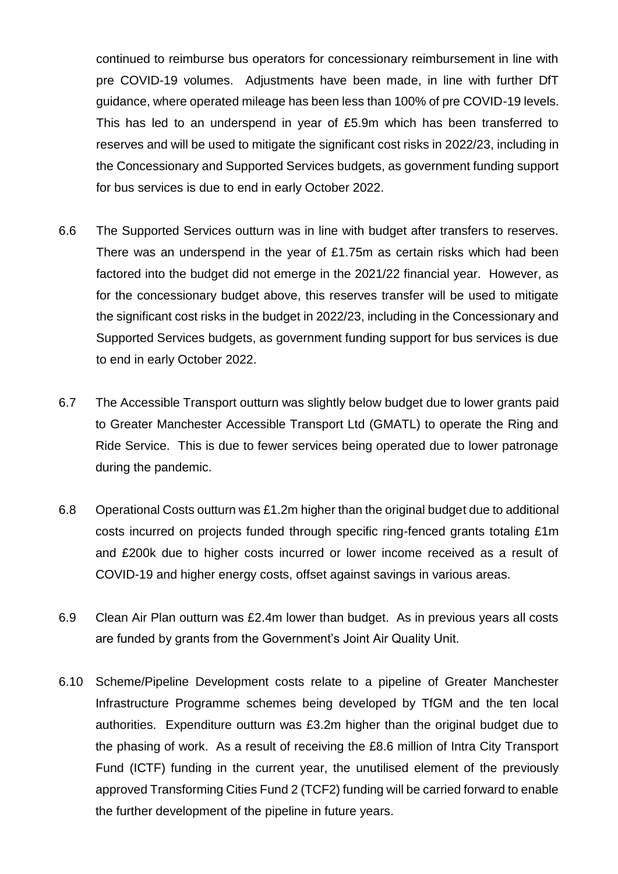continued to reimburse bus operators for concessionary reimbursement in line with pre COVID-19 volumes. Adjustments have been made, in line with further DfT guidance, where operated mileage has been less than 100% of pre COVID-19 levels. This has led to an underspend in year of £5.9m which has been transferred to reserves and will be used to mitigate the significant cost risks in 2022/23, including in the Concessionary and Supported Services budgets, as government funding support for bus services is due to end in early October 2022.

- 6.6 The Supported Services outturn was in line with budget after transfers to reserves. There was an underspend in the year of £1.75m as certain risks which had been factored into the budget did not emerge in the 2021/22 financial year. However, as for the concessionary budget above, this reserves transfer will be used to mitigate the significant cost risks in the budget in 2022/23, including in the Concessionary and Supported Services budgets, as government funding support for bus services is due to end in early October 2022.
- 6.7 The Accessible Transport outturn was slightly below budget due to lower grants paid to Greater Manchester Accessible Transport Ltd (GMATL) to operate the Ring and Ride Service. This is due to fewer services being operated due to lower patronage during the pandemic.
- 6.8 Operational Costs outturn was £1.2m higher than the original budget due to additional costs incurred on projects funded through specific ring-fenced grants totaling £1m and £200k due to higher costs incurred or lower income received as a result of COVID-19 and higher energy costs, offset against savings in various areas.
- 6.9 Clean Air Plan outturn was £2.4m lower than budget. As in previous years all costs are funded by grants from the Government's Joint Air Quality Unit.
- 6.10 Scheme/Pipeline Development costs relate to a pipeline of Greater Manchester Infrastructure Programme schemes being developed by TfGM and the ten local authorities. Expenditure outturn was £3.2m higher than the original budget due to the phasing of work. As a result of receiving the £8.6 million of Intra City Transport Fund (ICTF) funding in the current year, the unutilised element of the previously approved Transforming Cities Fund 2 (TCF2) funding will be carried forward to enable the further development of the pipeline in future years.